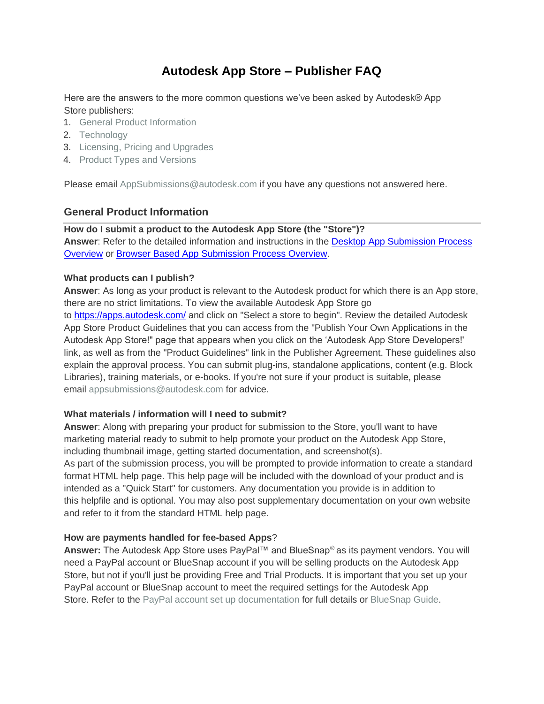# **Autodesk App Store – Publisher FAQ**

Here are the answers to the more common questions we've been asked by Autodesk® App Store publishers:

- 1. [General Product](#page-0-0) Information
- 2. [Technology](#page-1-0)
- 3. [Licensing, Pricing and](#page-1-1) Upgrades
- 4. [Product Types and](#page-2-0) Versions

Please email [AppSubmissions@autodesk.com if](mailto:AppSubmissions@autodesk.com) you have any questions not answered here.

# <span id="page-0-0"></span>**General Product Information**

# **How do I submit a product to the Autodesk App Store (the "Store")? Answer**: Refer to the detailed information and instructions in the [Desktop App Submission Process](https://damassets.autodesk.net/content/dam/autodesk/www/adn/pdf/desktop-app-submission-process-overview.pdf) [Overview](https://damassets.autodesk.net/content/dam/autodesk/www/adn/pdf/desktop-app-submission-process-overview.pdf) or [Browser Based App Submission Process Overview.](https://damassets.autodesk.net/content/dam/autodesk/www/adn/pdf/browser-based-app-submission-process-overview.pdf)

# **What products can I publish?**

**Answer**: As long as your product is relevant to the Autodesk product for which there is an App store, there are no strict limitations. To view the available Autodesk App Store go

to<https://apps.autodesk.com/> and click on "Select a store to begin". Review the detailed Autodesk App Store Product Guidelines that you can access from the "Publish Your Own Applications in the Autodesk App Store!" page that appears when you click on the 'Autodesk App Store Developers!' link, as well as from the "Product Guidelines" link in the Publisher Agreement. These guidelines also explain the approval process. You can submit plug-ins, standalone applications, content (e.g. Block Libraries), training materials, or e-books. If you're not sure if your product is suitable, please email [appsubmissions@autodesk.com f](mailto:appsubmissions@autodesk.com)or advice.

#### **What materials / information will I need to submit?**

**Answer**: Along with preparing your product for submission to the Store, you'll want to have marketing material ready to submit to help promote your product on the Autodesk App Store, including thumbnail image, getting started documentation, and screenshot(s).

As part of the submission process, you will be prompted to provide information to create a standard format HTML help page. This help page will be included with the download of your product and is intended as a "Quick Start" for customers. Any documentation you provide is in addition to this helpfile and is optional. You may also post supplementary documentation on your own website and refer to it from the standard HTML help page.

#### **How are payments handled for fee-based Apps**?

**Answer:** The Autodesk App Store uses PayPal™ and BlueSnap® as its payment vendors. You will need a PayPal account or BlueSnap account if you will be selling products on the Autodesk App Store, but not if you'll just be providing Free and Trial Products. It is important that you set up your PayPal account or BlueSnap account to meet the required settings for the Autodesk App Store. Refer to the [PayPal account set up documentation f](https://damassets.autodesk.net/content/dam/autodesk/www/adn/pdf/paypal-account-setup.pdf)or full details or [BlueSnap Guide.](https://apps.autodesk.com/Public/BlueSnapGuide)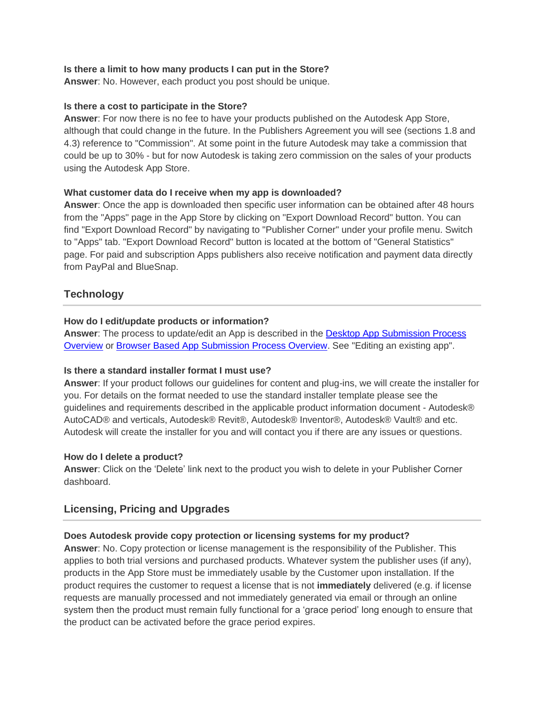#### **Is there a limit to how many products I can put in the Store?**

**Answer**: No. However, each product you post should be unique.

#### **Is there a cost to participate in the Store?**

**Answer**: For now there is no fee to have your products published on the Autodesk App Store, although that could change in the future. In the Publishers Agreement you will see (sections 1.8 and 4.3) reference to "Commission". At some point in the future Autodesk may take a commission that could be up to 30% - but for now Autodesk is taking zero commission on the sales of your products using the Autodesk App Store.

#### **What customer data do I receive when my app is downloaded?**

**Answer**: Once the app is downloaded then specific user information can be obtained after 48 hours from the "Apps" page in the App Store by clicking on "Export Download Record" button. You can find "Export Download Record" by navigating to "Publisher Corner" under your profile menu. Switch to "Apps" tab. "Export Download Record" button is located at the bottom of "General Statistics" page. For paid and subscription Apps publishers also receive notification and payment data directly from PayPal and BlueSnap.

# <span id="page-1-0"></span>**Technology**

#### **How do I edit/update products or information?**

**Answer**: The process to update/edit an App is described in the [Desktop App Submission Process](https://damassets.autodesk.net/content/dam/autodesk/www/adn/pdf/desktop-app-submission-process-overview.pdf) [Overview](https://damassets.autodesk.net/content/dam/autodesk/www/adn/pdf/desktop-app-submission-process-overview.pdf) or [Browser Based App Submission Process Overview. S](https://damassets.autodesk.net/content/dam/autodesk/www/adn/pdf/browser-based-app-submission-process-overview.pdf)ee "Editing an existing app".

#### **Is there a standard installer format I must use?**

**Answer**: If your product follows our guidelines for content and plug-ins, we will create the installer for you. For details on the format needed to use the standard installer template please see the guidelines and requirements described in the applicable product information document - Autodesk® AutoCAD® and verticals, Autodesk® Revit®, Autodesk® Inventor®, Autodesk® Vault® and etc. Autodesk will create the installer for you and will contact you if there are any issues or questions.

#### **How do I delete a product?**

**Answer**: Click on the 'Delete' link next to the product you wish to delete in your Publisher Corner dashboard.

# <span id="page-1-1"></span>**Licensing, Pricing and Upgrades**

#### **Does Autodesk provide copy protection or licensing systems for my product?**

**Answer**: No. Copy protection or license management is the responsibility of the Publisher. This applies to both trial versions and purchased products. Whatever system the publisher uses (if any), products in the App Store must be immediately usable by the Customer upon installation. If the product requires the customer to request a license that is not **immediately** delivered (e.g. if license requests are manually processed and not immediately generated via email or through an online system then the product must remain fully functional for a 'grace period' long enough to ensure that the product can be activated before the grace period expires.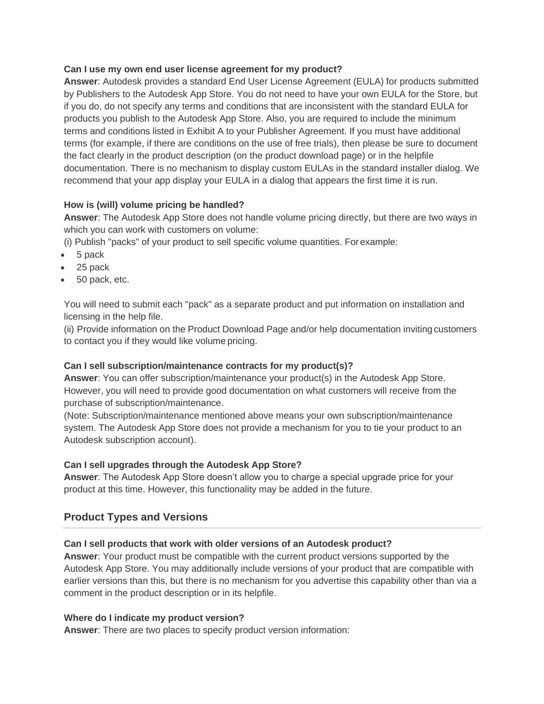#### **Can I use my own end user license agreement for my product?**

**Answer**: Autodesk provides a standard End User License Agreement (EULA) for products submitted by Publishers to the Autodesk App Store. You do not need to have your own EULA for the Store, but if you do, do not specify any terms and conditions that are inconsistent with the standard EULA for products you publish to the Autodesk App Store. Also, you are required to include the minimum terms and conditions listed in Exhibit A to your Publisher Agreement. If you must have additional terms (for example, if there are conditions on the use of free trials), then please be sure to document the fact clearly in the product description (on the product download page) or in the helpfile documentation. There is no mechanism to display custom EULAs in the standard installer dialog. We recommend that your app display your EULA in a dialog that appears the first time it is run.

# **How is (will) volume pricing be handled?**

**Answer**: The Autodesk App Store does not handle volume pricing directly, but there are two ways in which you can work with customers on volume:

(i) Publish "packs" of your product to sell specific volume quantities. Forexample:

- 5 pack
- 25 pack
- 50 pack, etc.

You will need to submit each "pack" as a separate product and put information on installation and licensing in the help file.

(ii) Provide information on the Product Download Page and/or help documentation inviting customers to contact you if they would like volume pricing.

# **Can I sell subscription/maintenance contracts for my product(s)?**

**Answer**: You can offer subscription/maintenance your product(s) in the Autodesk App Store. However, you will need to provide good documentation on what customers will receive from the purchase of subscription/maintenance.

(Note: Subscription/maintenance mentioned above means your own subscription/maintenance system. The Autodesk App Store does not provide a mechanism for you to tie your product to an Autodesk subscription account).

# **Can I sell upgrades through the Autodesk App Store?**

**Answer**: The Autodesk App Store doesn't allow you to charge a special upgrade price for your product at this time. However, this functionality may be added in the future.

# <span id="page-2-0"></span>**Product Types and Versions**

# **Can I sell products that work with older versions of an Autodesk product?**

**Answer**: Your product must be compatible with the current product versions supported by the Autodesk App Store. You may additionally include versions of your product that are compatible with earlier versions than this, but there is no mechanism for you advertise this capability other than via a comment in the product description or in its helpfile.

# **Where do I indicate my product version?**

**Answer**: There are two places to specify product version information: